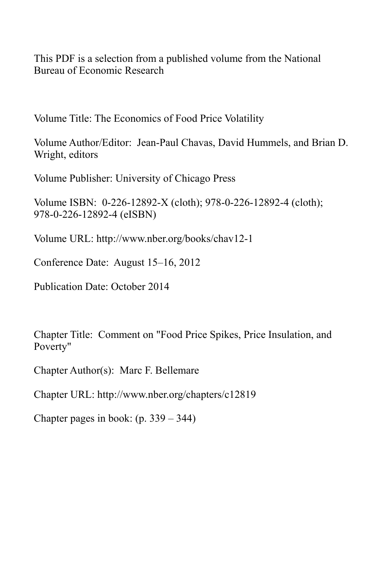This PDF is a selection from a published volume from the National Bureau of Economic Research

Volume Title: The Economics of Food Price Volatility

Volume Author/Editor: Jean-Paul Chavas, David Hummels, and Brian D. Wright, editors

Volume Publisher: University of Chicago Press

Volume ISBN: 0-226-12892-X (cloth); 978-0-226-12892-4 (cloth); 978-0-226-12892-4 (eISBN)

Volume URL: http://www.nber.org/books/chav12-1

Conference Date: August 15–16, 2012

Publication Date: October 2014

Chapter Title: Comment on "Food Price Spikes, Price Insulation, and Poverty"

Chapter Author(s): Marc F. Bellemare

Chapter URL: http://www.nber.org/chapters/c12819

Chapter pages in book: (p. 339 – 344)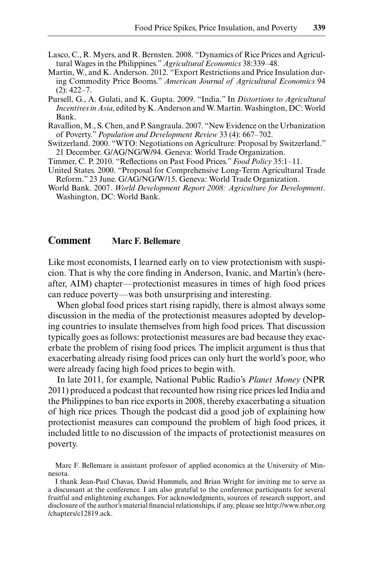- Lasco, C., R. Myers, and R. Bernsten. 2008. "Dynamics of Rice Prices and Agricultural Wages in the Philippines." *Agricultural Economics* 38:339–48.
- Martin, W., and K. Anderson. 2012. "Export Restrictions and Price Insulation during Commodity Price Booms." *American Journal of Agricultural Economics* 94  $(2)$ : 422–7.
- Pursell, G., A. Gulati, and K. Gupta. 2009. "India." In *Distortions to Agricultural Incentives in Asia*, edited by K. Anderson andW. Martin. Washington, DC: World Bank.
- Ravallion, M., S. Chen, and P. Sangraula. 2007. "New Evidence on the Urbanization of Poverty." *Population and Development Review* 33 (4): 667–702.
- Switzerland. 2000. "WTO: Negotiations on Agriculture: Proposal by Switzerland." 21 December. G/AG/NG/W/94. Geneva: World Trade Organization.
- Timmer, C. P. 2010. "Reflections on Past Food Prices." *Food Policy* 35:1–11.
- United States. 2000. "Proposal for Comprehensive Long-Term Agricultural Trade Reform." 23 June. G/AG/NG/W/15. Geneva: World Trade Organization.
- World Bank. 2007. *World Development Report 2008: Agriculture for Development*. Washington, DC: World Bank.

## **Comment Marc F. Bellemare**

Like most economists, I learned early on to view protectionism with suspicion. That is why the core finding in Anderson, Ivanic, and Martin's (hereafter, AIM) chapter—protectionist measures in times of high food prices can reduce poverty—was both unsurprising and interesting.

When global food prices start rising rapidly, there is almost always some discussion in the media of the protectionist measures adopted by developing countries to insulate themselves from high food prices. That discussion typically goes as follows: protectionist measures are bad because they exacerbate the problem of rising food prices. The implicit argument is thus that exacerbating already rising food prices can only hurt the world's poor, who were already facing high food prices to begin with.

In late 2011, for example, National Public Radio's *Planet Money* (NPR 2011) produced a podcast that recounted how rising rice prices led India and the Philippines to ban rice exports in 2008, thereby exacerbating a situation of high rice prices. Though the podcast did a good job of explaining how protectionist measures can compound the problem of high food prices, it included little to no discussion of the impacts of protectionist measures on poverty.

Marc F. Bellemare is assistant professor of applied economics at the University of Minnesota.

I thank Jean-Paul Chavas, David Hummels, and Brian Wright for inviting me to serve as a discussant at the conference. I am also grateful to the conference participants for several fruitful and enlightening exchanges. For acknowledgments, sources of research support, and disclosure of the author's material financial relationships, if any, please see http://www.nber.org /chapters/c12819.ack.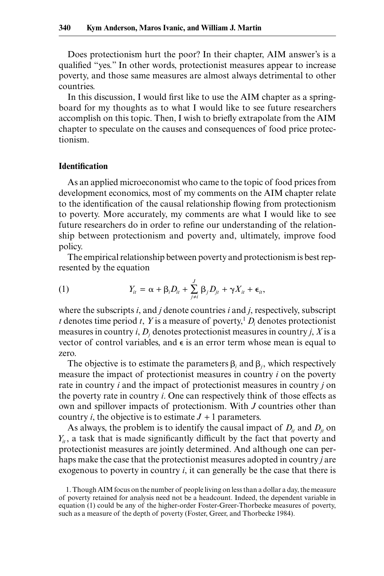Does protectionism hurt the poor? In their chapter, AIM answer's is a qualified "yes." In other words, protectionist measures appear to increase poverty, and those same measures are almost always detrimental to other countries.

In this discussion, I would first like to use the AIM chapter as a springboard for my thoughts as to what I would like to see future researchers accomplish on this topic. Then, I wish to briefly extrapolate from the AIM chapter to speculate on the causes and consequences of food price protectionism.

# **Identification**

As an applied microeconomist who came to the topic of food prices from development economics, most of my comments on the AIM chapter relate to the identification of the causal relationship flowing from protectionism to poverty. More accurately, my comments are what I would like to see future researchers do in order to refine our understanding of the relationship between protectionism and poverty and, ultimately, improve food policy.

The empirical relationship between poverty and protectionism is best represented by the equation

(1) 
$$
Y_{it} = \alpha + \beta_i D_{it} + \sum_{j \neq i}^{J} \beta_j D_{jt} + \gamma X_{it} + \epsilon_{it},
$$

where the subscripts *i*, and *j* denote countries *i* and *j*, respectively, subscript *t* denotes time period *t*, *Y* is a measure of poverty,<sup>1</sup> *D<sub>i</sub>* denotes protectionist measures in country *i*, *Dj* denotes protectionist measures in country *j*, *X* is a vector of control variables, and  $\epsilon$  is an error term whose mean is equal to zero.

The objective is to estimate the parameters  $\beta$  and  $\beta$  , which respectively measure the impact of protectionist measures in country *i* on the poverty rate in country *i* and the impact of protectionist measures in country *j* on the poverty rate in country *i*. One can respectively think of those effects as own and spillover impacts of protectionism. With *J* countries other than country *i*, the objective is to estimate  $J + 1$  parameters.

As always, the problem is to identify the causal impact of  $D_{it}$  and  $D_{it}$  on  $Y_{i}$ , a task that is made significantly difficult by the fact that poverty and protectionist measures are jointly determined. And although one can perhaps make the case that the protectionist measures adopted in country *j* are exogenous to poverty in country *i*, it can generally be the case that there is

<sup>1.</sup> Though AIM focus on the number of people living on less than a dollar a day, the measure of poverty retained for analysis need not be a headcount. Indeed, the dependent variable in equation (1) could be any of the higher-order Foster-Greer-Thorbecke measures of poverty, such as a measure of the depth of poverty (Foster, Greer, and Thorbecke 1984).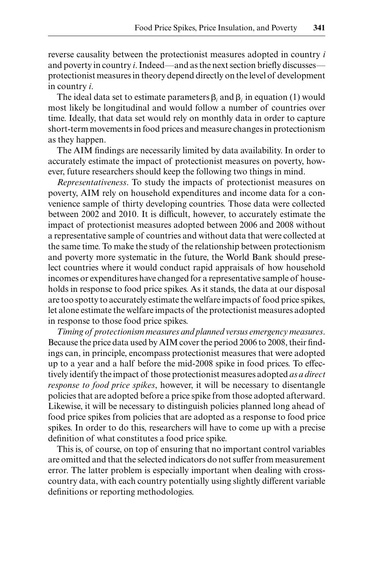reverse causality between the protectionist measures adopted in country *i* and poverty in country *i*. Indeed—and as the next section briefly discusses protectionist measures in theory depend directly on the level of development in country *i*.

The ideal data set to estimate parameters  $\beta$  and  $\beta$  in equation (1) would most likely be longitudinal and would follow a number of countries over time. Ideally, that data set would rely on monthly data in order to capture short-term movements in food prices and measure changes in protectionism as they happen.

The AIM findings are necessarily limited by data availability. In order to accurately estimate the impact of protectionist measures on poverty, however, future researchers should keep the following two things in mind.

*Representativeness*. To study the impacts of protectionist measures on poverty, AIM rely on household expenditures and income data for a convenience sample of thirty developing countries. Those data were collected between 2002 and 2010. It is difficult, however, to accurately estimate the impact of protectionist measures adopted between 2006 and 2008 without a representative sample of countries and without data that were collected at the same time. To make the study of the relationship between protectionism and poverty more systematic in the future, the World Bank should preselect countries where it would conduct rapid appraisals of how household incomes or expenditures have changed for a representative sample of households in response to food price spikes. As it stands, the data at our disposal are too spotty to accurately estimate the welfare impacts of food price spikes, let alone estimate the welfare impacts of the protectionist measures adopted in response to those food price spikes.

*Timing of protectionism measures and planned versus emergency measures*. Because the price data used by AIM cover the period 2006 to 2008, their findings can, in principle, encompass protectionist measures that were adopted up to a year and a half before the mid-2008 spike in food prices. To effectively identify the impact of those protectionist measures adopted *as a direct response to food price spikes*, however, it will be necessary to disentangle policies that are adopted before a price spike from those adopted afterward. Likewise, it will be necessary to distinguish policies planned long ahead of food price spikes from policies that are adopted as a response to food price spikes. In order to do this, researchers will have to come up with a precise definition of what constitutes a food price spike.

This is, of course, on top of ensuring that no important control variables are omitted and that the selected indicators do not suffer from measurement error. The latter problem is especially important when dealing with crosscountry data, with each country potentially using slightly different variable definitions or reporting methodologies.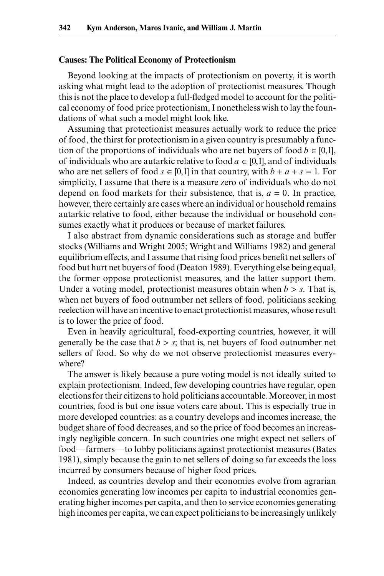## **Causes: The Political Economy of Protectionism**

Beyond looking at the impacts of protectionism on poverty, it is worth asking what might lead to the adoption of protectionist measures. Though this is not the place to develop a full-fledged model to account for the political economy of food price protectionism, I nonetheless wish to lay the foundations of what such a model might look like.

Assuming that protectionist measures actually work to reduce the price of food, the thirst for protectionism in a given country is presumably a function of the proportions of individuals who are net buyers of food  $b \in [0,1]$ , of individuals who are autarkic relative to food  $a \in [0,1]$ , and of individuals who are net sellers of food  $s \in [0,1]$  in that country, with  $b + a + s = 1$ . For simplicity, I assume that there is a measure zero of individuals who do not depend on food markets for their subsistence, that is,  $a = 0$ . In practice, however, there certainly are cases where an individual or household remains autarkic relative to food, either because the individual or household consumes exactly what it produces or because of market failures.

I also abstract from dynamic considerations such as storage and buffer stocks (Williams and Wright 2005; Wright and Williams 1982) and general equilibrium effects, and I assume that rising food prices benefit net sellers of food but hurt net buyers of food (Deaton 1989). Everything else being equal, the former oppose protectionist measures, and the latter support them. Under a voting model, protectionist measures obtain when  $b > s$ . That is, when net buyers of food outnumber net sellers of food, politicians seeking reelection will have an incentive to enact protectionist measures, whose result is to lower the price of food.

Even in heavily agricultural, food-exporting countries, however, it will generally be the case that  $b > s$ ; that is, net buyers of food outnumber net sellers of food. So why do we not observe protectionist measures everywhere?

The answer is likely because a pure voting model is not ideally suited to explain protectionism. Indeed, few developing countries have regular, open elections for their citizens to hold politicians accountable. Moreover, in most countries, food is but one issue voters care about. This is especially true in more developed countries: as a country develops and incomes increase, the budget share of food decreases, and so the price of food becomes an increasingly negligible concern. In such countries one might expect net sellers of food—farmers—to lobby politicians against protectionist measures (Bates 1981), simply because the gain to net sellers of doing so far exceeds the loss incurred by consumers because of higher food prices.

Indeed, as countries develop and their economies evolve from agrarian economies generating low incomes per capita to industrial economies generating higher incomes per capita, and then to service economies generating high incomes per capita, we can expect politicians to be increasingly unlikely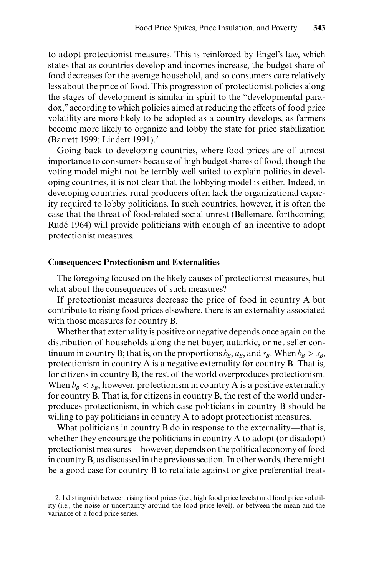to adopt protectionist measures. This is reinforced by Engel's law, which states that as countries develop and incomes increase, the budget share of food decreases for the average household, and so consumers care relatively less about the price of food. This progression of protectionist policies along the stages of development is similar in spirit to the "developmental paradox," according to which policies aimed at reducing the effects of food price volatility are more likely to be adopted as a country develops, as farmers become more likely to organize and lobby the state for price stabilization (Barrett 1999; Lindert 1991).2

Going back to developing countries, where food prices are of utmost importance to consumers because of high budget shares of food, though the voting model might not be terribly well suited to explain politics in developing countries, it is not clear that the lobbying model is either. Indeed, in developing countries, rural producers often lack the organizational capacity required to lobby politicians. In such countries, however, it is often the case that the threat of food-related social unrest (Bellemare, forthcoming; Rudé 1964) will provide politicians with enough of an incentive to adopt protectionist measures.

#### **Consequences: Protectionism and Externalities**

The foregoing focused on the likely causes of protectionist measures, but what about the consequences of such measures?

If protectionist measures decrease the price of food in country A but contribute to rising food prices elsewhere, there is an externality associated with those measures for country B.

Whether that externality is positive or negative depends once again on the distribution of households along the net buyer, autarkic, or net seller continuum in country B; that is, on the proportions  $b_B$ ,  $a_B$ , and  $s_B$ . When  $b_B > s_B$ , protectionism in country A is a negative externality for country B. That is, for citizens in country B, the rest of the world overproduces protectionism. When  $b_B < s_B$ , however, protectionism in country A is a positive externality for country B. That is, for citizens in country B, the rest of the world underproduces protectionism, in which case politicians in country B should be willing to pay politicians in country A to adopt protectionist measures.

What politicians in country B do in response to the externality—that is, whether they encourage the politicians in country A to adopt (or disadopt) protectionist measures—however, depends on the political economy of food in country B, as discussed in the previous section. In other words, there might be a good case for country B to retaliate against or give preferential treat-

<sup>2.</sup> I distinguish between rising food prices (i.e., high food price levels) and food price volatility (i.e., the noise or uncertainty around the food price level), or between the mean and the variance of a food price series.